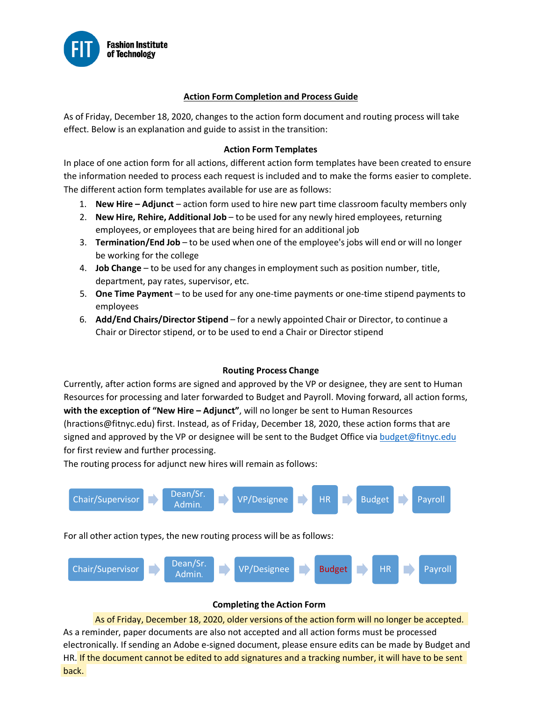

### **Action Form Completion and Process Guide**

As of Friday, December 18, 2020, changes to the action form document and routing process will take effect. Below is an explanation and guide to assist in the transition:

### **Action Form Templates**

In place of one action form for all actions, different action form templates have been created to ensure the information needed to process each request is included and to make the forms easier to complete. The different action form templates available for use are as follows:

- 1. **New Hire – Adjunct**  action form used to hire new part time classroom faculty members only
- 2. **New Hire, Rehire, Additional Job** to be used for any newly hired employees, returning employees, or employees that are being hired for an additional job
- 3. **Termination/End Job** to be used when one of the employee's jobs will end or will no longer be working for the college
- 4. **Job Change** to be used for any changes in employment such as position number, title, department, pay rates, supervisor, etc.
- 5. **One Time Payment**  to be used for any one-time payments or one-time stipend payments to employees
- 6. **Add/End Chairs/Director Stipend** for a newly appointed Chair or Director, to continue a Chair or Director stipend, or to be used to end a Chair or Director stipend

### **Routing Process Change**

Currently, after action forms are signed and approved by the VP or designee, they are sent to Human Resources for processing and later forwarded to Budget and Payroll. Moving forward, all action forms, **with the exception of "New Hire – Adjunct"**, will no longer be sent to Human Resources (hractions@fitnyc.edu) first. Instead, as of Friday, December 18, 2020, these action forms that are signed and approved by the VP or designee will be sent to the Budget Office via [budget@fitnyc.edu](mailto:budget@fitnyc.edu) for first review and further processing.

The routing process for adjunct new hires will remain as follows:



For all other action types, the new routing process will be as follows:



### **Completing the Action Form**

back. HR. If the document cannot be edited to add signatures and a tracking number, it will have to be sent As of Friday, December 18, 2020, older versions of the action form will no longer be accepted. As a reminder, paper documents are also not accepted and all action forms must be processed electronically. If sending an Adobe e-signed document, please ensure edits can be made by Budget and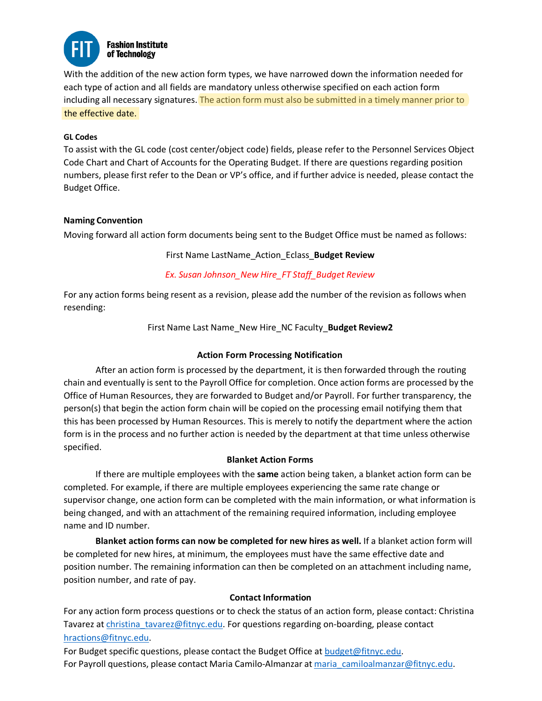

With the addition of the new action form types, we have narrowed down the information needed for each type of action and all fields are mandatory unless otherwise specified on each action form including all necessary signatures. The action form must also be submitted in a timely manner prior to the effective date.

### **GL Codes**

To assist with the GL code (cost center/object code) fields, please refer to the Personnel Services Object Code Chart and Chart of Accounts for the Operating Budget. If there are questions regarding position numbers, please first refer to the Dean or VP's office, and if further advice is needed, please contact the Budget Office.

### **Naming Convention**

Moving forward all action form documents being sent to the Budget Office must be named as follows:

# First Name LastName\_Action\_Eclass\_**Budget Review**

# *Ex. Susan Johnson\_New Hire\_FT Staff\_Budget Review*

For any action forms being resent as a revision, please add the number of the revision as follows when resending:

First Name Last Name\_New Hire\_NC Faculty\_**Budget Review2**

# **Action Form Processing Notification**

After an action form is processed by the department, it is then forwarded through the routing chain and eventually is sent to the Payroll Office for completion. Once action forms are processed by the Office of Human Resources, they are forwarded to Budget and/or Payroll. For further transparency, the person(s) that begin the action form chain will be copied on the processing email notifying them that this has been processed by Human Resources. This is merely to notify the department where the action form is in the process and no further action is needed by the department at that time unless otherwise specified.

# **Blanket Action Forms**

If there are multiple employees with the **same** action being taken, a blanket action form can be completed. For example, if there are multiple employees experiencing the same rate change or supervisor change, one action form can be completed with the main information, or what information is being changed, and with an attachment of the remaining required information, including employee name and ID number.

**Blanket action forms can now be completed for new hires as well.** If a blanket action form will be completed for new hires, at minimum, the employees must have the same effective date and position number. The remaining information can then be completed on an attachment including name, position number, and rate of pay.

# **Contact Information**

For any action form process questions or to check the status of an action form, please contact: Christina Tavarez at christina tavarez@fitnyc.edu. For questions regarding on-boarding, please contact [hractions@fitnyc.edu.](mailto:hractions@fitnyc.edu)

For Budget specific questions, please contact the Budget Office at [budget@fitnyc.edu.](mailto:budget@fitnyc.edu) For Payroll questions, please contact Maria Camilo-Almanzar at [maria\\_camiloalmanzar@fitnyc.edu.](mailto:maria_camiloalmanzar@fitnyc.edu)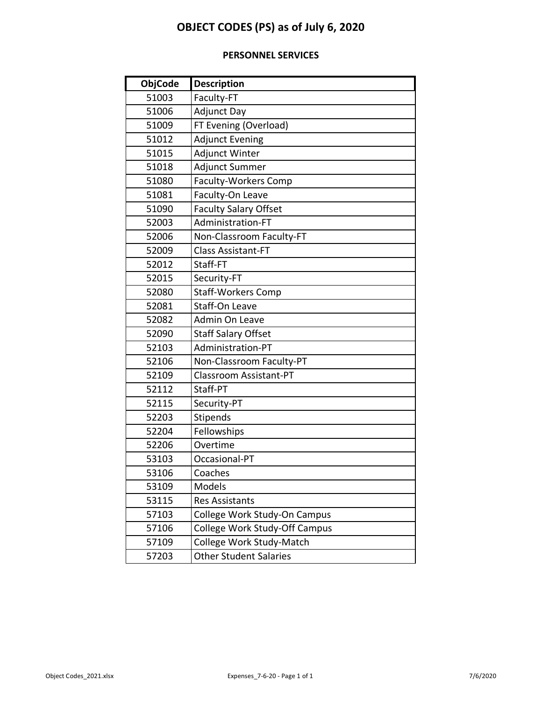# **OBJECT CODES (PS) as of July 6, 2020**

# **PERSONNEL SERVICES**

| <b>ObjCode</b> | <b>Description</b>            |  |  |
|----------------|-------------------------------|--|--|
| 51003          | Faculty-FT                    |  |  |
| 51006          | <b>Adjunct Day</b>            |  |  |
| 51009          | FT Evening (Overload)         |  |  |
| 51012          | <b>Adjunct Evening</b>        |  |  |
| 51015          | <b>Adjunct Winter</b>         |  |  |
| 51018          | <b>Adjunct Summer</b>         |  |  |
| 51080          | <b>Faculty-Workers Comp</b>   |  |  |
| 51081          | Faculty-On Leave              |  |  |
| 51090          | <b>Faculty Salary Offset</b>  |  |  |
| 52003          | Administration-FT             |  |  |
| 52006          | Non-Classroom Faculty-FT      |  |  |
| 52009          | <b>Class Assistant-FT</b>     |  |  |
| 52012          | Staff-FT                      |  |  |
| 52015          | Security-FT                   |  |  |
| 52080          | <b>Staff-Workers Comp</b>     |  |  |
| 52081          | Staff-On Leave                |  |  |
| 52082          | Admin On Leave                |  |  |
| 52090          | <b>Staff Salary Offset</b>    |  |  |
| 52103          | Administration-PT             |  |  |
| 52106          | Non-Classroom Faculty-PT      |  |  |
| 52109          | Classroom Assistant-PT        |  |  |
| 52112          | Staff-PT                      |  |  |
| 52115          | Security-PT                   |  |  |
| 52203          | Stipends                      |  |  |
| 52204          | Fellowships                   |  |  |
| 52206          | Overtime                      |  |  |
| 53103          | Occasional-PT                 |  |  |
| 53106          | Coaches                       |  |  |
| 53109          | Models                        |  |  |
| 53115          | <b>Res Assistants</b>         |  |  |
| 57103          | College Work Study-On Campus  |  |  |
| 57106          | College Work Study-Off Campus |  |  |
| 57109          | College Work Study-Match      |  |  |
| 57203          | <b>Other Student Salaries</b> |  |  |